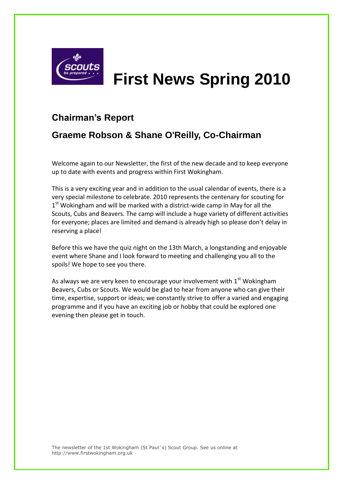

# **First News Spring 2010**

### **Chairman's Report**

### **Graeme Robson & Shane O'Reilly, Co-Chairman**

Welcome again to our Newsletter, the first of the new decade and to keep everyone up to date with events and progress within First Wokingham.

This is a very exciting year and in addition to the usual calendar of events, there is a very special milestone to celebrate. 2010 represents the centenary for scouting for 1<sup>st</sup> Wokingham and will be marked with a district-wide camp in May for all the Scouts, Cubs and Beavers. The camp will include a huge variety of different activities for everyone; places are limited and demand is already high so please don't delay in reserving a place!

Before this we have the quiz night on the 13th March, a longstanding and enjoyable event where Shane and I look forward to meeting and challenging you all to the spoils! We hope to see you there.

As always we are very keen to encourage your involvement with  $1<sup>st</sup>$  Wokingham Beavers, Cubs or Scouts. We would be glad to hear from anyone who can give their time, expertise, support or ideas; we constantly strive to offer a varied and engaging programme and if you have an exciting job or hobby that could be explored one evening then please get in touch.

The newsletter of the 1st Wokingham (St Paul´s) Scout Group. See us online at http://www.firstwokingham.org.uk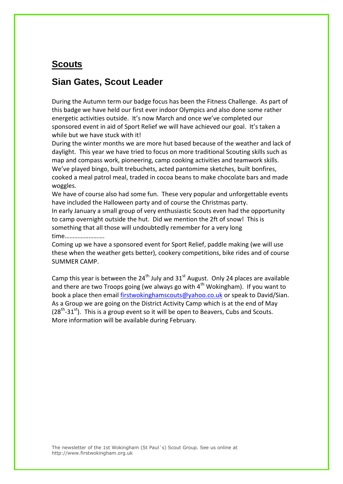### **Scouts**

### **Sian Gates, Scout Leader**

During the Autumn term our badge focus has been the Fitness Challenge. As part of this badge we have held our first ever indoor Olympics and also done some rather energetic activities outside. It's now March and once we've completed our sponsored event in aid of Sport Relief we will have achieved our goal. It's taken a while but we have stuck with it!

During the winter months we are more hut based because of the weather and lack of daylight. This year we have tried to focus on more traditional Scouting skills such as map and compass work, pioneering, camp cooking activities and teamwork skills. We've played bingo, built trebuchets, acted pantomime sketches, built bonfires, cooked a meal patrol meal, traded in cocoa beans to make chocolate bars and made woggles.

We have of course also had some fun. These very popular and unforgettable events have included the Halloween party and of course the Christmas party.

In early January a small group of very enthusiastic Scouts even had the opportunity to camp overnight outside the hut. Did we mention the 2ft of snow! This is something that all those will undoubtedly remember for a very long time…………………….

Coming up we have a sponsored event for Sport Relief, paddle making (we will use these when the weather gets better), cookery competitions, bike rides and of course SUMMER CAMP.

Camp this year is between the  $24^{th}$  July and  $31^{st}$  August. Only 24 places are available and there are two Troops going (we always go with  $4<sup>th</sup>$  Wokingham). If you want to book a place then email [firstwokinghamscouts@yahoo.co.uk](mailto:firstwokinghamscouts@yahoo.co.uk) or speak to David/Sian. As a Group we are going on the District Activity Camp which is at the end of May  $(28<sup>th</sup>-31<sup>st</sup>)$ . This is a group event so it will be open to Beavers, Cubs and Scouts. More information will be available during February.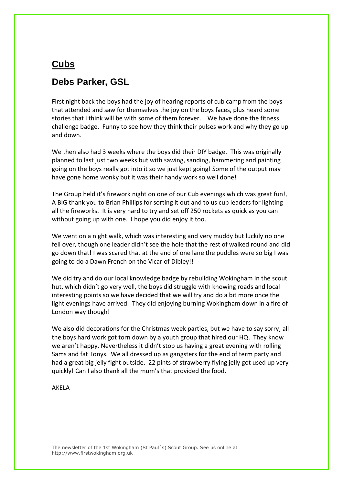### **Cubs**

### **Debs Parker, GSL**

First night back the boys had the joy of hearing reports of cub camp from the boys that attended and saw for themselves the joy on the boys faces, plus heard some stories that i think will be with some of them forever. We have done the fitness challenge badge. Funny to see how they think their pulses work and why they go up and down.

We then also had 3 weeks where the boys did their DIY badge. This was originally planned to last just two weeks but with sawing, sanding, hammering and painting going on the boys really got into it so we just kept going! Some of the output may have gone home wonky but it was their handy work so well done!

The Group held it's firework night on one of our Cub evenings which was great fun!, A BIG thank you to Brian Phillips for sorting it out and to us cub leaders for lighting all the fireworks. It is very hard to try and set off 250 rockets as quick as you can without going up with one. I hope you did enjoy it too.

We went on a night walk, which was interesting and very muddy but luckily no one fell over, though one leader didn't see the hole that the rest of walked round and did go down that! I was scared that at the end of one lane the puddles were so big I was going to do a Dawn French on the Vicar of Dibley!!

We did try and do our local knowledge badge by rebuilding Wokingham in the scout hut, which didn't go very well, the boys did struggle with knowing roads and local interesting points so we have decided that we will try and do a bit more once the light evenings have arrived. They did enjoying burning Wokingham down in a fire of London way though!

We also did decorations for the Christmas week parties, but we have to say sorry, all the boys hard work got torn down by a youth group that hired our HQ. They know we aren't happy. Nevertheless it didn't stop us having a great evening with rolling Sams and fat Tonys. We all dressed up as gangsters for the end of term party and had a great big jelly fight outside. 22 pints of strawberry flying jelly got used up very quickly! Can I also thank all the mum's that provided the food.

#### AKELA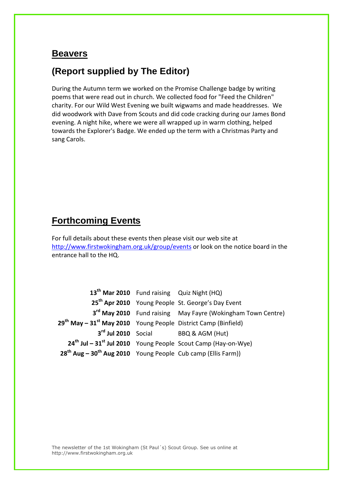### **Beavers**

### **(Report supplied by The Editor)**

During the Autumn term we worked on the Promise Challenge badge by writing poems that were read out in church. We collected food for "Feed the Children" charity. For our Wild West Evening we built wigwams and made headdresses. We did woodwork with Dave from Scouts and did code cracking during our James Bond evening. A night hike, where we were all wrapped up in warm clothing, helped towards the Explorer's Badge. We ended up the term with a Christmas Party and sang Carols.

### **Forthcoming Events**

For full details about these events then please visit our web site at <http://www.firstwokingham.org.uk/group/events> or look on the notice board in the entrance hall to the HQ.

**th Mar 2010** Fund raising Quiz Night (HQ) **th Apr 2010** Young People St. George's Day Event **rd May 2010** Fund raising May Fayre (Wokingham Town Centre) **th May – 31st May 2010** Young People District Camp (Binfield) **rd Jul 2010** Social BBQ & AGM (Hut) **th Jul – 31st Jul 2010** Young People Scout Camp (Hay-on-Wye) **th Aug – 30th Aug 2010** Young People Cub camp (Ellis Farm))

The newsletter of the 1st Wokingham (St Paul´s) Scout Group. See us online at http://www.firstwokingham.org.uk